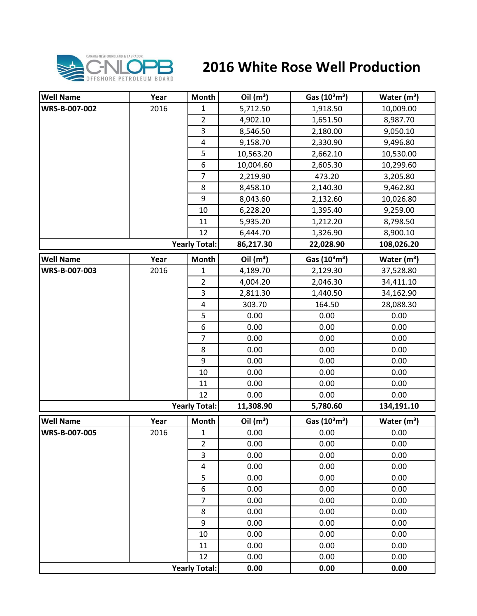

## **2016 White Rose Well Production**

| <b>Well Name</b> | Year | Month                | Oil $(m^3)$ | Gas (10 <sup>3</sup> m <sup>3</sup> ) | Water $(m^3)$           |
|------------------|------|----------------------|-------------|---------------------------------------|-------------------------|
| WRS-B-007-002    | 2016 | $\mathbf{1}$         | 5,712.50    | 1,918.50                              | 10,009.00               |
|                  |      | $\overline{2}$       | 4,902.10    | 1,651.50                              | 8,987.70                |
|                  |      | $\overline{3}$       | 8,546.50    | 2,180.00                              | 9,050.10                |
|                  |      | $\pmb{4}$            | 9,158.70    | 2,330.90                              | 9,496.80                |
|                  |      | 5                    | 10,563.20   | 2,662.10                              | 10,530.00               |
|                  |      | 6                    | 10,004.60   | 2,605.30                              | 10,299.60               |
|                  |      | $\overline{7}$       | 2,219.90    | 473.20                                | 3,205.80                |
|                  |      | 8                    | 8,458.10    | 2,140.30                              | 9,462.80                |
|                  |      | 9                    | 8,043.60    | 2,132.60                              | 10,026.80               |
|                  |      | 10                   | 6,228.20    | 1,395.40                              | 9,259.00                |
|                  |      | 11                   | 5,935.20    | 1,212.20                              | 8,798.50                |
|                  |      | 12                   | 6,444.70    | 1,326.90                              | 8,900.10                |
|                  |      | <b>Yearly Total:</b> | 86,217.30   | 22,028.90                             | 108,026.20              |
| <b>Well Name</b> | Year | <b>Month</b>         | Oil $(m^3)$ | Gas (10 <sup>3</sup> m <sup>3</sup> ) | Water (m <sup>3</sup> ) |
| WRS-B-007-003    | 2016 | $\mathbf 1$          | 4,189.70    | 2,129.30                              | 37,528.80               |
|                  |      | 2                    | 4,004.20    | 2,046.30                              | 34,411.10               |
|                  |      | 3                    | 2,811.30    | 1,440.50                              | 34,162.90               |
|                  |      | 4                    | 303.70      | 164.50                                | 28,088.30               |
|                  |      | 5                    | 0.00        | 0.00                                  | 0.00                    |
|                  |      | 6                    | 0.00        | 0.00                                  | 0.00                    |
|                  |      | 7                    | 0.00        | 0.00                                  | 0.00                    |
|                  |      | 8                    | 0.00        | 0.00                                  | 0.00                    |
|                  |      | 9                    | 0.00        | 0.00                                  | 0.00                    |
|                  |      | 10                   | 0.00        | 0.00                                  | 0.00                    |
|                  |      | 11                   | 0.00        | 0.00                                  | 0.00                    |
|                  |      | 12                   | 0.00        | 0.00                                  | 0.00                    |
|                  |      | <b>Yearly Total:</b> | 11,308.90   | 5,780.60                              | 134,191.10              |
| <b>Well Name</b> | Year | Month                | Oil $(m^3)$ | Gas (10 <sup>3</sup> m <sup>3</sup> ) | Water $(m^3)$           |
| WRS-B-007-005    | 2016 | $\mathbf 1$          | 0.00        | 0.00                                  | 0.00                    |
|                  |      | $\overline{2}$       | 0.00        | 0.00                                  | 0.00                    |
|                  |      | 3                    | 0.00        | 0.00                                  | 0.00                    |
|                  |      | $\pmb{4}$            | 0.00        | 0.00                                  | 0.00                    |
|                  |      | 5                    | 0.00        | 0.00                                  | 0.00                    |
|                  |      | $\boldsymbol{6}$     | 0.00        | 0.00                                  | 0.00                    |
|                  |      | 7                    | 0.00        | 0.00                                  | 0.00                    |
|                  |      | 8                    | 0.00        | 0.00                                  | 0.00                    |
|                  |      | 9                    | 0.00        | 0.00                                  | 0.00                    |
|                  |      | 10                   | 0.00        | 0.00                                  | 0.00                    |
|                  |      | 11                   | 0.00        | 0.00                                  | 0.00                    |
|                  |      | 12                   | 0.00        | 0.00                                  | 0.00                    |
|                  |      | <b>Yearly Total:</b> | 0.00        | 0.00                                  | 0.00                    |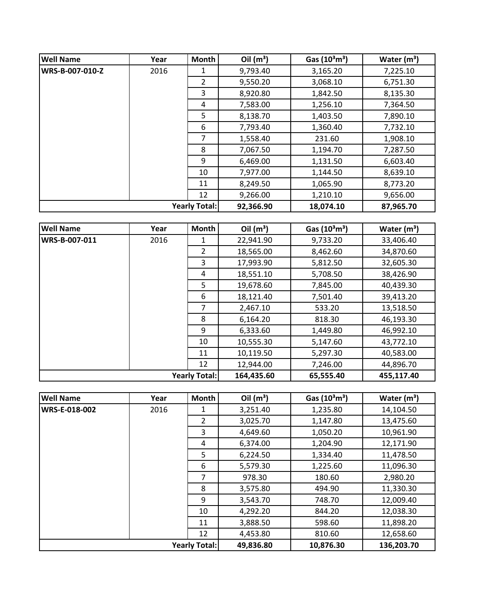| <b>Well Name</b>     | Year | Month          | Oil $(m^3)$ | Gas $(10^3 \text{m}^3)$ | Water $(m^3)$ |
|----------------------|------|----------------|-------------|-------------------------|---------------|
| WRS-B-007-010-Z      | 2016 | 1              | 9,793.40    | 3,165.20                | 7,225.10      |
|                      |      | $\overline{2}$ | 9,550.20    | 3,068.10                | 6,751.30      |
|                      |      | 3              | 8,920.80    | 1,842.50                | 8,135.30      |
|                      |      | 4              | 7,583.00    | 1,256.10                | 7,364.50      |
|                      |      | 5              | 8,138.70    | 1,403.50                | 7,890.10      |
|                      |      | 6              | 7,793.40    | 1,360.40                | 7,732.10      |
|                      |      | 7              | 1,558.40    | 231.60                  | 1,908.10      |
|                      |      | 8              | 7,067.50    | 1,194.70                | 7,287.50      |
|                      |      | 9              | 6,469.00    | 1,131.50                | 6,603.40      |
|                      |      | 10             | 7,977.00    | 1,144.50                | 8,639.10      |
|                      |      | 11             | 8,249.50    | 1,065.90                | 8,773.20      |
|                      |      | 12             | 9,266.00    | 1,210.10                | 9,656.00      |
| <b>Yearly Total:</b> |      | 92,366.90      | 18,074.10   | 87,965.70               |               |

| <b>Well Name</b>     | Year | Month          | Oil $(m^3)$ | Gas $(10^3 \text{m}^3)$ | Water $(m^3)$ |
|----------------------|------|----------------|-------------|-------------------------|---------------|
| WRS-B-007-011        | 2016 | 1              | 22,941.90   | 9,733.20                | 33,406.40     |
|                      |      | $\overline{2}$ | 18,565.00   | 8,462.60                | 34,870.60     |
|                      |      | 3              | 17,993.90   | 5,812.50                | 32,605.30     |
|                      |      | 4              | 18,551.10   | 5,708.50                | 38,426.90     |
|                      |      | 5              | 19,678.60   | 7,845.00                | 40,439.30     |
|                      |      | 6              | 18,121.40   | 7,501.40                | 39,413.20     |
|                      |      | 7              | 2,467.10    | 533.20                  | 13,518.50     |
|                      |      | 8              | 6,164.20    | 818.30                  | 46,193.30     |
|                      |      | 9              | 6,333.60    | 1,449.80                | 46,992.10     |
|                      |      | 10             | 10,555.30   | 5,147.60                | 43,772.10     |
|                      |      | 11             | 10,119.50   | 5,297.30                | 40,583.00     |
|                      |      | 12             | 12,944.00   | 7,246.00                | 44,896.70     |
| <b>Yearly Total:</b> |      |                | 164,435.60  | 65,555.40               | 455,117.40    |

| <b>Well Name</b>     | Year | <b>Month</b>   | Oil $(m^3)$ | Gas $(10^3 \text{m}^3)$ | Water $(m^3)$ |
|----------------------|------|----------------|-------------|-------------------------|---------------|
| WRS-E-018-002        | 2016 |                | 3,251.40    | 1,235.80                | 14,104.50     |
|                      |      | $\overline{2}$ | 3,025.70    | 1,147.80                | 13,475.60     |
|                      |      | 3              | 4,649.60    | 1,050.20                | 10,961.90     |
|                      |      | 4              | 6,374.00    | 1,204.90                | 12,171.90     |
|                      |      | 5              | 6,224.50    | 1,334.40                | 11,478.50     |
|                      |      | 6              | 5,579.30    | 1,225.60                | 11,096.30     |
|                      |      | 7              | 978.30      | 180.60                  | 2,980.20      |
|                      |      | 8              | 3,575.80    | 494.90                  | 11,330.30     |
|                      |      | 9              | 3,543.70    | 748.70                  | 12,009.40     |
|                      |      | 10             | 4,292.20    | 844.20                  | 12,038.30     |
|                      |      | 11             | 3,888.50    | 598.60                  | 11,898.20     |
|                      |      | 12             | 4,453.80    | 810.60                  | 12,658.60     |
| <b>Yearly Total:</b> |      |                | 49,836.80   | 10,876.30               | 136,203.70    |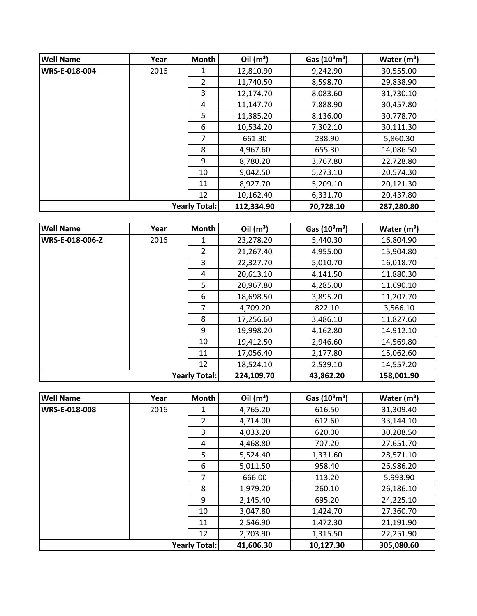| <b>Well Name</b>     | Year | <b>Month</b>   | Oil $(m^3)$ | Gas $(10^3 \text{m}^3)$ | Water $(m^3)$ |
|----------------------|------|----------------|-------------|-------------------------|---------------|
| WRS-E-018-004        | 2016 | 1              | 12,810.90   | 9,242.90                | 30,555.00     |
|                      |      | $\overline{2}$ | 11,740.50   | 8,598.70                | 29,838.90     |
|                      |      | 3              | 12,174.70   | 8,083.60                | 31,730.10     |
|                      |      | 4              | 11,147.70   | 7,888.90                | 30,457.80     |
|                      |      | 5              | 11,385.20   | 8,136.00                | 30,778.70     |
|                      |      | 6              | 10,534.20   | 7,302.10                | 30,111.30     |
|                      |      | 7              | 661.30      | 238.90                  | 5,860.30      |
|                      |      | 8              | 4,967.60    | 655.30                  | 14,086.50     |
|                      |      | 9              | 8,780.20    | 3,767.80                | 22,728.80     |
|                      |      | 10             | 9,042.50    | 5,273.10                | 20,574.30     |
|                      |      | 11             | 8,927.70    | 5,209.10                | 20,121.30     |
|                      |      | 12             | 10,162.40   | 6,331.70                | 20,437.80     |
| <b>Yearly Total:</b> |      | 112,334.90     | 70,728.10   | 287,280.80              |               |

| <b>Well Name</b>       | Year | Month          | Oil $(m^3)$ | Gas $(10^3 \text{m}^3)$ | Water $(m^3)$ |
|------------------------|------|----------------|-------------|-------------------------|---------------|
| <b>WRS-E-018-006-Z</b> | 2016 | 1              | 23,278.20   | 5,440.30                | 16,804.90     |
|                        |      | $\overline{2}$ | 21,267.40   | 4,955.00                | 15,904.80     |
|                        |      | 3              | 22,327.70   | 5,010.70                | 16,018.70     |
|                        |      | 4              | 20,613.10   | 4,141.50                | 11,880.30     |
|                        |      | 5              | 20,967.80   | 4,285.00                | 11,690.10     |
|                        |      | 6              | 18,698.50   | 3,895.20                | 11,207.70     |
|                        |      | 7              | 4,709.20    | 822.10                  | 3,566.10      |
|                        |      | 8              | 17,256.60   | 3,486.10                | 11,827.60     |
|                        |      | 9              | 19,998.20   | 4,162.80                | 14,912.10     |
|                        |      | 10             | 19,412.50   | 2,946.60                | 14,569.80     |
|                        |      | 11             | 17,056.40   | 2,177.80                | 15,062.60     |
|                        |      | 12             | 18,524.10   | 2,539.10                | 14,557.20     |
| <b>Yearly Total:</b>   |      |                | 224,109.70  | 43,862.20               | 158,001.90    |

| <b>Well Name</b>     | Year | <b>Month</b>   | Oil $(m^3)$ | Gas $(10^3 \text{m}^3)$ | Water $(m^3)$ |
|----------------------|------|----------------|-------------|-------------------------|---------------|
| <b>WRS-E-018-008</b> | 2016 | 1              | 4,765.20    | 616.50                  | 31,309.40     |
|                      |      | $\overline{2}$ | 4,714.00    | 612.60                  | 33,144.10     |
|                      |      | 3              | 4,033.20    | 620.00                  | 30,208.50     |
|                      |      | 4              | 4,468.80    | 707.20                  | 27,651.70     |
|                      |      | 5              | 5,524.40    | 1,331.60                | 28,571.10     |
|                      |      | 6              | 5,011.50    | 958.40                  | 26,986.20     |
|                      |      | 7              | 666.00      | 113.20                  | 5,993.90      |
|                      |      | 8              | 1,979.20    | 260.10                  | 26,186.10     |
|                      |      | 9              | 2,145.40    | 695.20                  | 24,225.10     |
|                      |      | 10             | 3,047.80    | 1,424.70                | 27,360.70     |
|                      |      | 11             | 2,546.90    | 1,472.30                | 21,191.90     |
|                      |      | 12             | 2,703.90    | 1,315.50                | 22,251.90     |
| <b>Yearly Total:</b> |      |                | 41,606.30   | 10,127.30               | 305,080.60    |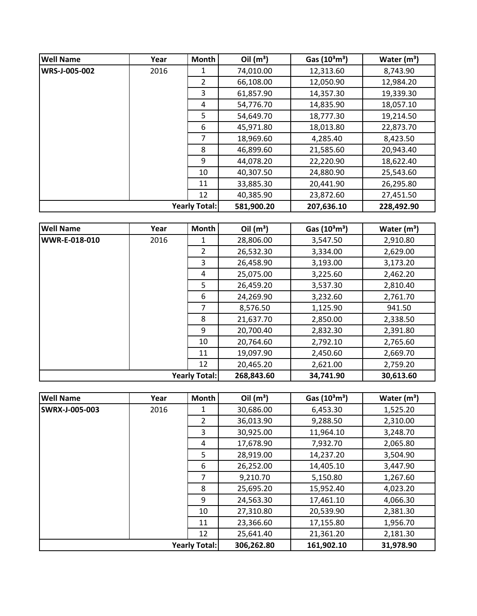| <b>Well Name</b>     | Year | Month          | Oil $(m^3)$ | Gas $(10^3 \text{m}^3)$ | Water $(m^3)$ |
|----------------------|------|----------------|-------------|-------------------------|---------------|
| WRS-J-005-002        | 2016 |                | 74,010.00   | 12,313.60               | 8,743.90      |
|                      |      | $\overline{2}$ | 66,108.00   | 12,050.90               | 12,984.20     |
|                      |      | 3              | 61,857.90   | 14,357.30               | 19,339.30     |
|                      |      | 4              | 54,776.70   | 14,835.90               | 18,057.10     |
|                      |      | 5              | 54,649.70   | 18,777.30               | 19,214.50     |
|                      |      | 6              | 45,971.80   | 18,013.80               | 22,873.70     |
|                      |      | 7              | 18,969.60   | 4,285.40                | 8,423.50      |
|                      |      | 8              | 46,899.60   | 21,585.60               | 20,943.40     |
|                      |      | 9              | 44,078.20   | 22,220.90               | 18,622.40     |
|                      |      | 10             | 40,307.50   | 24,880.90               | 25,543.60     |
|                      |      | 11             | 33,885.30   | 20,441.90               | 26,295.80     |
|                      |      | 12             | 40,385.90   | 23,872.60               | 27,451.50     |
| <b>Yearly Total:</b> |      | 581,900.20     | 207,636.10  | 228,492.90              |               |

| <b>Well Name</b>     | Year | Month          | Oil $(m^3)$ | Gas $(10^3 \text{m}^3)$ | Water $(m^3)$ |
|----------------------|------|----------------|-------------|-------------------------|---------------|
| <b>WWR-E-018-010</b> | 2016 | 1              | 28,806.00   | 3,547.50                | 2,910.80      |
|                      |      | $\overline{2}$ | 26,532.30   | 3,334.00                | 2,629.00      |
|                      |      | 3              | 26,458.90   | 3,193.00                | 3,173.20      |
|                      |      | 4              | 25,075.00   | 3,225.60                | 2,462.20      |
|                      |      | 5              | 26,459.20   | 3,537.30                | 2,810.40      |
|                      |      | 6              | 24,269.90   | 3,232.60                | 2,761.70      |
|                      |      | 7              | 8,576.50    | 1,125.90                | 941.50        |
|                      |      | 8              | 21,637.70   | 2,850.00                | 2,338.50      |
|                      |      | 9              | 20,700.40   | 2,832.30                | 2,391.80      |
|                      |      | 10             | 20,764.60   | 2,792.10                | 2,765.60      |
|                      |      | 11             | 19,097.90   | 2,450.60                | 2,669.70      |
|                      |      | 12             | 20,465.20   | 2,621.00                | 2,759.20      |
| <b>Yearly Total:</b> |      |                | 268,843.60  | 34,741.90               | 30,613.60     |

| <b>Well Name</b>      | Year | <b>Month</b>   | Oil $(m^3)$ | Gas $(10^3 \text{m}^3)$ | Water $(m^3)$ |
|-----------------------|------|----------------|-------------|-------------------------|---------------|
| <b>SWRX-J-005-003</b> | 2016 | 1              | 30,686.00   | 6,453.30                | 1,525.20      |
|                       |      | $\overline{2}$ | 36,013.90   | 9,288.50                | 2,310.00      |
|                       |      | 3              | 30,925.00   | 11,964.10               | 3,248.70      |
|                       |      | 4              | 17,678.90   | 7,932.70                | 2,065.80      |
|                       |      | 5              | 28,919.00   | 14,237.20               | 3,504.90      |
|                       |      | 6              | 26,252.00   | 14,405.10               | 3,447.90      |
|                       |      | 7              | 9,210.70    | 5,150.80                | 1,267.60      |
|                       |      | 8              | 25,695.20   | 15,952.40               | 4,023.20      |
|                       |      | 9              | 24,563.30   | 17,461.10               | 4,066.30      |
|                       |      | 10             | 27,310.80   | 20,539.90               | 2,381.30      |
|                       |      | 11             | 23,366.60   | 17,155.80               | 1,956.70      |
|                       |      | 12             | 25,641.40   | 21,361.20               | 2,181.30      |
| <b>Yearly Total:</b>  |      |                | 306,262.80  | 161,902.10              | 31,978.90     |